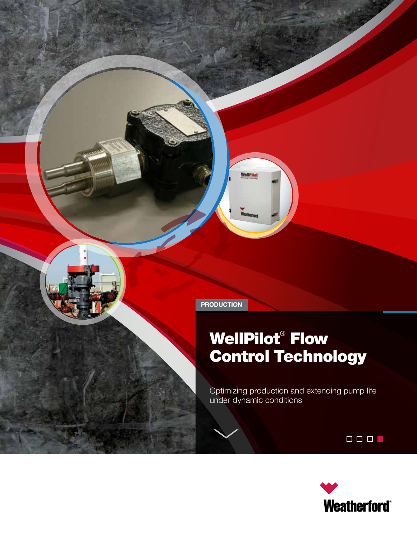**PRODUCTION**

# WellPilot® Flow Control Technology

Optimizing production and extending pump life under dynamic conditions



 $\begin{array}{c|c|c|c|c|c} \hline \rule{0pt}{16pt} \rule{0pt}{2pt} \rule{0pt}{2pt} \rule{0pt}{2pt} \rule{0pt}{2pt} \rule{0pt}{2pt} \rule{0pt}{2pt} \rule{0pt}{2pt} \rule{0pt}{2pt} \rule{0pt}{2pt} \rule{0pt}{2pt} \rule{0pt}{2pt} \rule{0pt}{2pt} \rule{0pt}{2pt} \rule{0pt}{2pt} \rule{0pt}{2pt} \rule{0pt}{2pt} \rule{0pt}{2pt} \rule{0pt}{2pt} \rule{0pt}{2pt} \rule{0pt}{2pt} \rule{0pt}{2pt} \$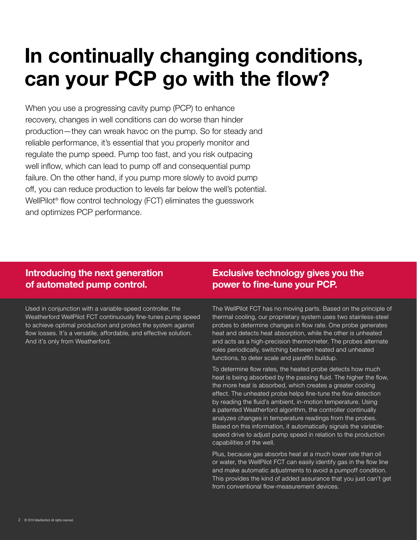# **In continually changing conditions, can your PCP go with the flow?**

When you use a progressing cavity pump (PCP) to enhance recovery, changes in well conditions can do worse than hinder production—they can wreak havoc on the pump. So for steady and reliable performance, it's essential that you properly monitor and regulate the pump speed. Pump too fast, and you risk outpacing well inflow, which can lead to pump off and consequential pump failure. On the other hand, if you pump more slowly to avoid pump off, you can reduce production to levels far below the well's potential. WellPilot® flow control technology (FCT) eliminates the guesswork and optimizes PCP performance.

## **Introducing the next generation of automated pump control.**

Used in conjunction with a variable-speed controller, the Weatherford WellPilot FCT continuously fine-tunes pump speed to achieve optimal production and protect the system against flow losses. It's a versatile, affordable, and effective solution. And it's only from Weatherford.

# **Exclusive technology gives you the power to fine-tune your PCP.**

The WellPilot FCT has no moving parts. Based on the principle of thermal cooling, our proprietary system uses two stainless-steel probes to determine changes in flow rate. One probe generates heat and detects heat absorption, while the other is unheated and acts as a high-precision thermometer. The probes alternate roles periodically, switching between heated and unheated functions, to deter scale and paraffin buildup.

To determine flow rates, the heated probe detects how much heat is being absorbed by the passing fluid. The higher the flow, the more heat is absorbed, which creates a greater cooling effect. The unheated probe helps fine-tune the flow detection by reading the fluid's ambient, in-motion temperature. Using a patented Weatherford algorithm, the controller continually analyzes changes in temperature readings from the probes. Based on this information, it automatically signals the variablespeed drive to adjust pump speed in relation to the production capabilities of the well.

Plus, because gas absorbs heat at a much lower rate than oil or water, the WellPilot FCT can easily identify gas in the flow line and make automatic adjustments to avoid a pumpoff condition. This provides the kind of added assurance that you just can't get from conventional flow-measurement devices.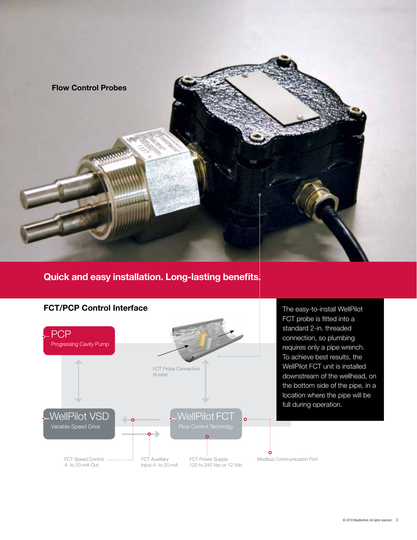

## **Quick and easy installation. Long-lasting benefits.**



The easy-to-install WellPilot FCT probe is fitted into a standard 2-in. threaded connection, so plumbing requires only a pipe wrench. To achieve best results, the WellPilot FCT unit is installed downstream of the wellhead, on the bottom side of the pipe, in a location where the pipe will be full during operation.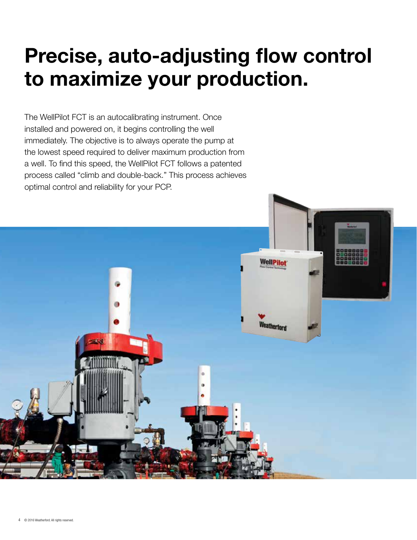# **Precise, auto-adjusting flow control to maximize your production.**

The WellPilot FCT is an autocalibrating instrument. Once installed and powered on, it begins controlling the well immediately. The objective is to always operate the pump at the lowest speed required to deliver maximum production from a well. To find this speed, the WellPilot FCT follows a patented process called "climb and double-back." This process achieves optimal control and reliability for your PCP.

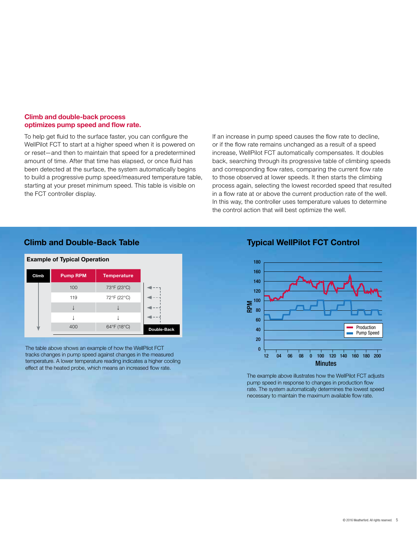#### **Climb and double-back process optimizes pump speed and flow rate.**

To help get fluid to the surface faster, you can configure the WellPilot FCT to start at a higher speed when it is powered on or reset—and then to maintain that speed for a predetermined amount of time. After that time has elapsed, or once fluid has been detected at the surface, the system automatically begins to build a progressive pump speed/measured temperature table, starting at your preset minimum speed. This table is visible on the FCT controller display.

If an increase in pump speed causes the flow rate to decline, or if the flow rate remains unchanged as a result of a speed increase, WellPilot FCT automatically compensates. It doubles back, searching through its progressive table of climbing speeds and corresponding flow rates, comparing the current flow rate to those observed at lower speeds. It then starts the climbing process again, selecting the lowest recorded speed that resulted in a flow rate at or above the current production rate of the well. In this way, the controller uses temperature values to determine the control action that will best optimize the well.

### **Climb and Double-Back Table**



The table above shows an example of how the WellPilot FCT tracks changes in pump speed against changes in the measured temperature. A lower temperature reading indicates a higher cooling effect at the heated probe, which means an increased flow rate.

#### **Typical WellPilot FCT Control**



The example above illustrates how the WellPilot FCT adjusts pump speed in response to changes in production flow rate. The system automatically determines the lowest speed necessary to maintain the maximum available flow rate.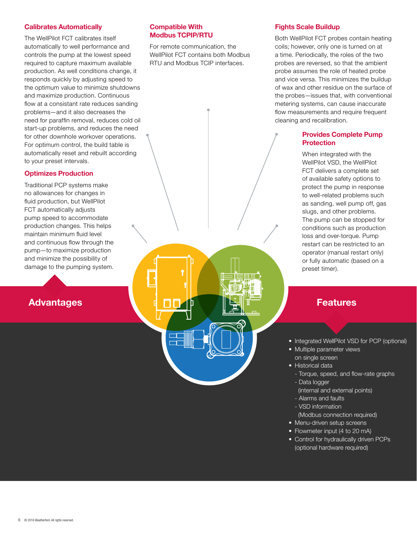#### **Calibrates Automatically**

The WellPilot FCT calibrates itself automatically to well performance and controls the pump at the lowest speed required to capture maximum available production. As well conditions change, it responds quickly by adjusting speed to the optimum value to minimize shutdowns and maximize production. Continuous flow at a consistant rate reduces sanding problems—and it also decreases the need for paraffin removal, reduces cold oil start-up problems, and reduces the need for other downhole workover operations. For optimum control, the build table is automatically reset and rebuilt according to your preset intervals.

#### **Optimizes Production**

Traditional PCP systems make no allowances for changes in fluid production, but WellPilot FCT automatically adjusts pump speed to accommodate production changes. This helps maintain minimum fluid level and continuous flow through the pump—to maximize production and minimize the possibility of damage to the pumping system.

## **Advantages [[]]** Features

#### **Compatible With Modbus TCPIP/RTU**

For remote communication, the WellPilot FCT contains both Modbus RTU and Modbus TCIP interfaces.

#### **Fights Scale Buildup**

Both WellPilot FCT probes contain heating coils; however, only one is turned on at a time. Periodically, the roles of the two probes are reversed, so that the ambient probe assumes the role of heated probe and vice versa. This minimizes the buildup of wax and other residue on the surface of the probes—issues that, with conventional metering systems, can cause inaccurate flow measurements and require frequent cleaning and recalibration.

### **Provides Complete Pump Protection**

When integrated with the WellPilot VSD, the WellPilot FCT delivers a complete set of available safety options to protect the pump in response to well-related problems such as sanding, well pump off, gas slugs, and other problems. The pump can be stopped for conditions such as production loss and over-torque. Pump restart can be restricted to an operator (manual restart only) or fully automatic (based on a preset timer).

• Integrated WellPilot VSD for PCP (optional)

- Multiple parameter views on single screen
- Historical data
- Torque, speed, and flow-rate graphs - Data logger
- (internal and external points)
- Alarms and faults
- VSD information
- (Modbus connection required)
- Menu-driven setup screens
- Flowmeter input (4 to 20 mA)
- Control for hydraulically driven PCPs (optional hardware required)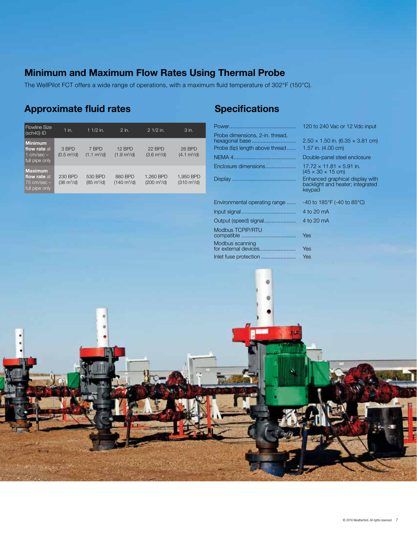# **Minimum and Maximum Flow Rates Using Thermal Probe**

The WellPilot FCT offers a wide range of operations, with a maximum fluid temperature of 302°F (150°C).

# **Approximate fluid rates Specifications**

| <b>Flowline Size</b><br>(sch40) ID                                  | $1$ in.                                | 1 $1/2$ in.                            | 2 in.                                   | 2 1/2 in.                                 | 3 in.                                     |
|---------------------------------------------------------------------|----------------------------------------|----------------------------------------|-----------------------------------------|-------------------------------------------|-------------------------------------------|
| <b>Minimum</b><br>flow rate at<br>1 cm/sec $-$<br>full pipe only    | 3 BPD<br>$(0.5 \text{ m}^3/\text{d})$  | 7 BPD<br>$(1.1 \text{ m}^3/\text{d})$  | 12 BPD<br>$(1.9 \text{ m}^3/\text{d})$  | 22 BPD<br>$(3.6 \text{ m}^3/\text{d})$    | 26 BPD<br>$(4.1 \text{ m}^3/\text{d})$    |
| <b>Maximum</b><br>flow rate at<br>$75$ cm/sec $-$<br>full pipe only | 230 BPD<br>$(36 \text{ m}^3/\text{d})$ | 530 BPD<br>$(85 \text{ m}^3/\text{d})$ | 880 BPD<br>$(140 \text{ m}^3/\text{d})$ | 1.260 BPD<br>$(200 \text{ m}^3/\text{d})$ | 1.950 BPD<br>$(310 \text{ m}^3/\text{d})$ |

|                                                                                      | 120 to 240 Vac or 12 Vdc input                                                |
|--------------------------------------------------------------------------------------|-------------------------------------------------------------------------------|
| Probe dimensions, 2-in. thread,<br>hexagonal base<br>Probe (tip) length above thread | $2.50 \times 1.50$ in. (6.35 $\times$ 3.81 cm)<br>1.57 in. (4.00 cm)          |
|                                                                                      | Double-panel steel enclosure                                                  |
| Enclosure dimensions                                                                 | $17.72 \times 11.81 \times 5.91$ in.<br>$(45 \times 30 \times 15$ cm)         |
|                                                                                      | Enhanced graphical display with<br>backlight and heater; integrated<br>keypad |
| Environmental operating range                                                        | -40 to 185°F (-40 to 85°C)                                                    |
|                                                                                      | 4 to 20 mA                                                                    |
| Output (speed) signal                                                                | 4 to 20 mA                                                                    |
| Modbus TCPIP/RTU                                                                     | <b>Yes</b>                                                                    |
| Modbus scanning<br>for external devices                                              | Yes                                                                           |
| Inlet fuse protection                                                                | <b>Yes</b>                                                                    |